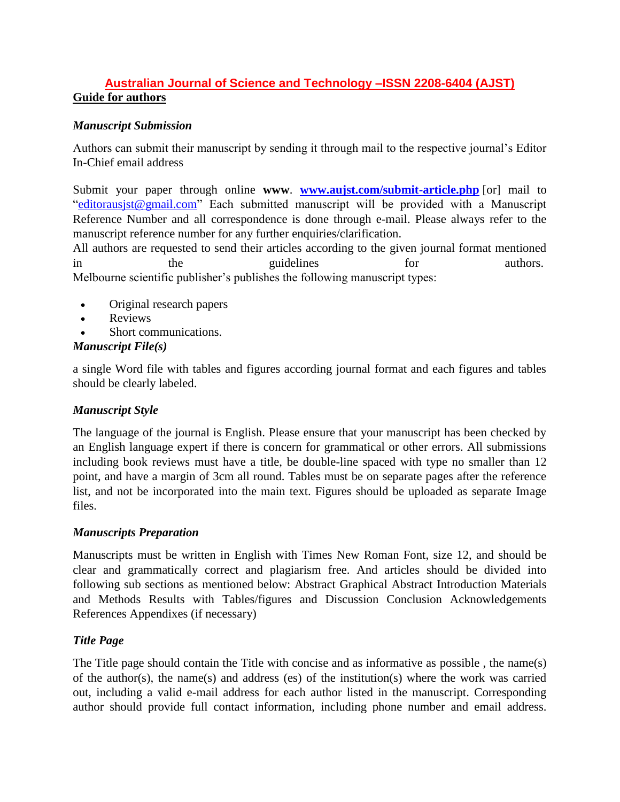# **Australian Journal of Science and Technology –ISSN 2208-6404 (AJST) Guide for authors**

## *Manuscript Submission*

Authors can submit their manuscript by sending it through mail to the respective journal's Editor In-Chief email address

Submit your paper through online **www**. **[www.aujst.com/submit-article.php](http://www.aujst.com/submit-article.php)** [or] mail to ["editorausjst@gmail.com"](mailto:editorausjst@gmail.com) Each submitted manuscript will be provided with a Manuscript Reference Number and all correspondence is done through e-mail. Please always refer to the manuscript reference number for any further enquiries/clarification.

All authors are requested to send their articles according to the given journal format mentioned in the guidelines for authors. Melbourne scientific publisher's publishes the following manuscript types:

- Original research papers
- Reviews
- Short communications.

#### *Manuscript File(s)*

a single Word file with tables and figures according journal format and each figures and tables should be clearly labeled.

#### *Manuscript Style*

The language of the journal is English. Please ensure that your manuscript has been checked by an English language expert if there is concern for grammatical or other errors. All submissions including book reviews must have a title, be double-line spaced with type no smaller than 12 point, and have a margin of 3cm all round. Tables must be on separate pages after the reference list, and not be incorporated into the main text. Figures should be uploaded as separate Image files.

#### *Manuscripts Preparation*

Manuscripts must be written in English with Times New Roman Font, size 12, and should be clear and grammatically correct and plagiarism free. And articles should be divided into following sub sections as mentioned below: Abstract Graphical Abstract Introduction Materials and Methods Results with Tables/figures and Discussion Conclusion Acknowledgements References Appendixes (if necessary)

#### *Title Page*

The Title page should contain the Title with concise and as informative as possible , the name(s) of the author(s), the name(s) and address (es) of the institution(s) where the work was carried out, including a valid e-mail address for each author listed in the manuscript. Corresponding author should provide full contact information, including phone number and email address.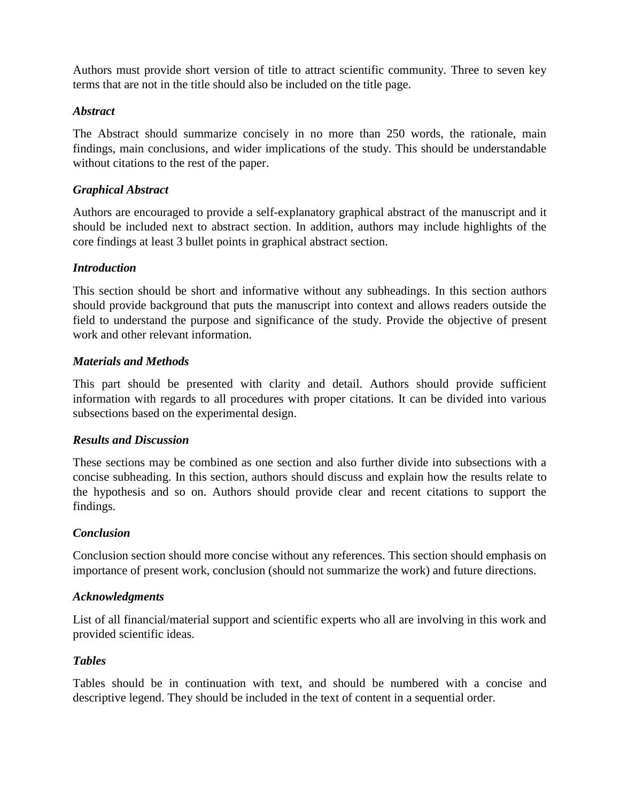Authors must provide short version of title to attract scientific community. Three to seven key terms that are not in the title should also be included on the title page.

#### *Abstract*

The Abstract should summarize concisely in no more than 250 words, the rationale, main findings, main conclusions, and wider implications of the study. This should be understandable without citations to the rest of the paper.

## *Graphical Abstract*

Authors are encouraged to provide a self-explanatory graphical abstract of the manuscript and it should be included next to abstract section. In addition, authors may include highlights of the core findings at least 3 bullet points in graphical abstract section.

## *Introduction*

This section should be short and informative without any subheadings. In this section authors should provide background that puts the manuscript into context and allows readers outside the field to understand the purpose and significance of the study. Provide the objective of present work and other relevant information.

#### *Materials and Methods*

This part should be presented with clarity and detail. Authors should provide sufficient information with regards to all procedures with proper citations. It can be divided into various subsections based on the experimental design.

## *Results and Discussion*

These sections may be combined as one section and also further divide into subsections with a concise subheading. In this section, authors should discuss and explain how the results relate to the hypothesis and so on. Authors should provide clear and recent citations to support the findings.

## *Conclusion*

Conclusion section should more concise without any references. This section should emphasis on importance of present work, conclusion (should not summarize the work) and future directions.

#### *Acknowledgments*

List of all financial/material support and scientific experts who all are involving in this work and provided scientific ideas.

#### *Tables*

Tables should be in continuation with text, and should be numbered with a concise and descriptive legend. They should be included in the text of content in a sequential order.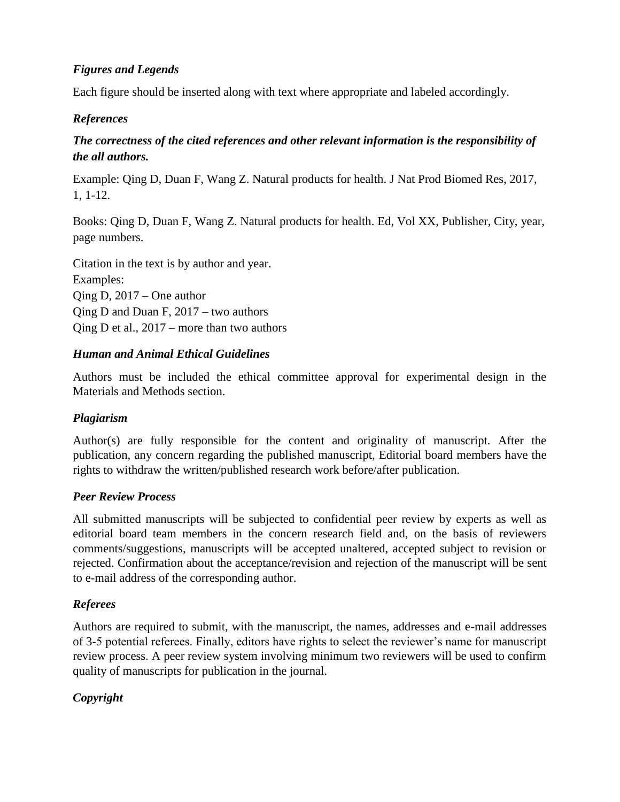## *Figures and Legends*

Each figure should be inserted along with text where appropriate and labeled accordingly.

# *References*

# *The correctness of the cited references and other relevant information is the responsibility of the all authors.*

Example: Qing D, Duan F, Wang Z. Natural products for health. J Nat Prod Biomed Res, 2017, 1, 1-12.

Books: Qing D, Duan F, Wang Z. Natural products for health. Ed, Vol XX, Publisher, City, year, page numbers.

Citation in the text is by author and year. Examples: Qing D, 2017 – One author Qing D and Duan F, 2017 – two authors Qing D et al., 2017 – more than two authors

## *Human and Animal Ethical Guidelines*

Authors must be included the ethical committee approval for experimental design in the Materials and Methods section.

# *Plagiarism*

Author(s) are fully responsible for the content and originality of manuscript. After the publication, any concern regarding the published manuscript, Editorial board members have the rights to withdraw the written/published research work before/after publication.

## *Peer Review Process*

All submitted manuscripts will be subjected to confidential peer review by experts as well as editorial board team members in the concern research field and, on the basis of reviewers comments/suggestions, manuscripts will be accepted unaltered, accepted subject to revision or rejected. Confirmation about the acceptance/revision and rejection of the manuscript will be sent to e-mail address of the corresponding author.

## *Referees*

Authors are required to submit, with the manuscript, the names, addresses and e-mail addresses of 3-5 potential referees. Finally, editors have rights to select the reviewer's name for manuscript review process. A peer review system involving minimum two reviewers will be used to confirm quality of manuscripts for publication in the journal.

# *Copyright*